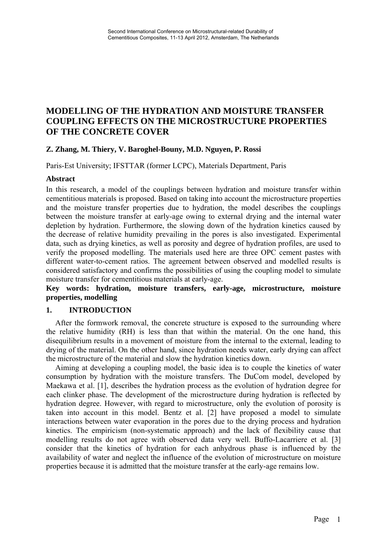# **MODELLING OF THE HYDRATION AND MOISTURE TRANSFER COUPLING EFFECTS ON THE MICROSTRUCTURE PROPERTIES OF THE CONCRETE COVER**

## **Z. Zhang, M. Thiery, V. Baroghel-Bouny, M.D. Nguyen, P. Rossi**

Paris-Est University; IFSTTAR (former LCPC), Materials Department, Paris

#### **Abstract**

In this research, a model of the couplings between hydration and moisture transfer within cementitious materials is proposed. Based on taking into account the microstructure properties and the moisture transfer properties due to hydration, the model describes the couplings between the moisture transfer at early-age owing to external drying and the internal water depletion by hydration. Furthermore, the slowing down of the hydration kinetics caused by the decrease of relative humidity prevailing in the pores is also investigated. Experimental data, such as drying kinetics, as well as porosity and degree of hydration profiles, are used to verify the proposed modelling. The materials used here are three OPC cement pastes with different water-to-cement ratios. The agreement between observed and modelled results is considered satisfactory and confirms the possibilities of using the coupling model to simulate moisture transfer for cementitious materials at early-age.

### **Key words: hydration, moisture transfers, early-age, microstructure, moisture properties, modelling**

#### **1. INTRODUCTION**

After the formwork removal, the concrete structure is exposed to the surrounding where the relative humidity (RH) is less than that within the material. On the one hand, this disequilibrium results in a movement of moisture from the internal to the external, leading to drying of the material. On the other hand, since hydration needs water, early drying can affect the microstructure of the material and slow the hydration kinetics down.

Aiming at developing a coupling model, the basic idea is to couple the kinetics of water consumption by hydration with the moisture transfers. The DuCom model, developed by Maekawa et al. [1], describes the hydration process as the evolution of hydration degree for each clinker phase. The development of the microstructure during hydration is reflected by hydration degree. However, with regard to microstructure, only the evolution of porosity is taken into account in this model. Bentz et al. [2] have proposed a model to simulate interactions between water evaporation in the pores due to the drying process and hydration kinetics. The empiricism (non-systematic approach) and the lack of flexibility cause that modelling results do not agree with observed data very well. Buffo-Lacarriere et al. [3] consider that the kinetics of hydration for each anhydrous phase is influenced by the availability of water and neglect the influence of the evolution of microstructure on moisture properties because it is admitted that the moisture transfer at the early-age remains low.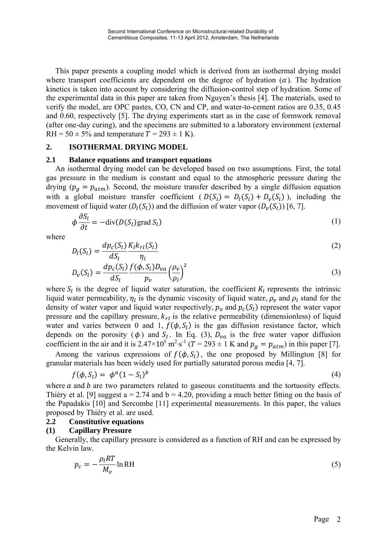This paper presents a coupling model which is derived from an isothermal drying model where transport coefficients are dependent on the degree of hydration  $(\alpha)$ . The hydration kinetics is taken into account by considering the diffusion-control step of hydration. Some of the experimental data in this paper are taken from Nguyen's thesis [4]. The materials, used to verify the model, are OPC pastes, CO, CN and CP, and water-to-cement ratios are 0.35, 0.45 and 0.60, respectively [5]. The drying experiments start as in the case of formwork removal (after one-day curing), and the specimens are submitted to a laboratory environment (external RH =  $50 \pm 5\%$  and temperature  $T = 293 \pm 1$  K).

### **2. ISOTHERMAL DRYING MODEL**

### **2.1 Balance equations and transport equations**

An isothermal drying model can be developed based on two assumptions. First, the total gas pressure in the medium is constant and equal to the atmospheric pressure during the drying ( $p_g = p_{atm}$ ). Second, the moisture transfer described by a single diffusion equation with a global moisture transfer coefficient ( $D(S_i) = D_i(S_i) + D_i(S_i)$ ), including the movement of liquid water  $(D_l(S_l))$  and the diffusion of water vapor  $(D_v(S_l))$  [6, 7].

$$
\phi \frac{\partial S_l}{\partial t} = -\text{div}(D(S_l)\text{grad } S_l)
$$
\n(1)

where

$$
D_l(S_l) = \frac{dp_c(S_l)}{dS_l} \frac{K_l k_{rl}(S_l)}{\eta_l} \tag{2}
$$

$$
D_{\nu}(S_l) = \frac{dp_c(S_l)}{dS_l} \frac{f(\phi, S_l)D_{\nu a}}{p_{\nu}} \left(\frac{\rho_{\nu}}{\rho_l}\right)^2 \tag{3}
$$

where  $S_l$  is the degree of liquid water saturation, the coefficient  $K_l$  represents the intrinsic liquid water permeability,  $\eta_l$  is the dynamic viscosity of liquid water,  $\rho_v$  and  $\rho_l$  stand for the density of water vapor and liquid water respectively,  $p_v$  and  $p_c(S_l)$  represent the water vapor pressure and the capillary pressure,  $k_{rl}$  is the relative permeability (dimensionless) of liquid water and varies between 0 and 1,  $f(\phi, S_i)$  is the gas diffusion resistance factor, which depends on the porosity ( $\phi$ ) and  $S_l$ . In Eq. (3),  $D_{va}$  is the free water vapor diffusion coefficient in the air and it is  $2.47 \times 10^5$  m<sup>2</sup> $\cdot$ s<sup>-1</sup> (T = 293  $\pm$  1 K and  $p_g = p_{atm}$ ) in this paper [7].

Among the various expressions of  $f(\phi, S_i)$ , the one proposed by Millington [8] for granular materials has been widely used for partially saturated porous media [4, 7].

$$
f(\phi, S_l) = \phi^a (1 - S_l)^b \tag{4}
$$

where  $\alpha$  and  $\beta$  are two parameters related to gaseous constituents and the tortuosity effects. Thiéry et al. [9] suggest  $a = 2.74$  and  $b = 4.20$ , providing a much better fitting on the basis of the Papadakis [10] and Sercombe [11] experimental measurements. In this paper, the values proposed by Thiéry et al. are used.

#### **2.2 Constitutive equations**

### **(1) Capillary Pressure**

Generally, the capillary pressure is considered as a function of RH and can be expressed by the Kelvin law.

$$
p_c = -\frac{\rho_l RT}{M_v} \ln \text{RH} \tag{5}
$$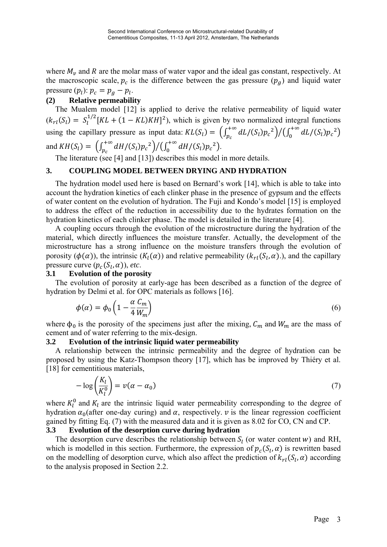where  $M_{\nu}$  and R are the molar mass of water vapor and the ideal gas constant, respectively. At the macroscopic scale,  $p_c$  is the difference between the gas pressure  $(p_q)$  and liquid water pressure  $(p_l)$ :  $p_c = p_g - p_l$ .

### **(2) Relative permeability**

The Mualem model [12] is applied to derive the relative permeability of liquid water  $(k_{rl}(S_l) = S_l^{1/2} [KL + (1 - KL)KH]^2)$ , which is given by two normalized integral functions using the capillary pressure as input data:  $KL(S_l) = \left(\int_{p_c}^{+\infty} dL/(S_l) p_c^2\right) / \left(\int_0^{+\infty} dL/(S_l) p_c^2\right)$ and  $KH(S_l) = \left( \int_{p_c}^{+\infty} dH / (S_l) p_c^2 \right) / \left( \int_0^{+\infty} dH / (S_l) p_c^2 \right).$ 

The literature (see [4] and [13]) describes this model in more details.

### **3. COUPLING MODEL BETWEEN DRYING AND HYDRATION**

The hydration model used here is based on Bernard's work [14], which is able to take into account the hydration kinetics of each clinker phase in the presence of gypsum and the effects of water content on the evolution of hydration. The Fuji and Kondo's model [15] is employed to address the effect of the reduction in accessibility due to the hydrates formation on the hydration kinetics of each clinker phase. The model is detailed in the literature [4].

A coupling occurs through the evolution of the microstructure during the hydration of the material, which directly influences the moisture transfer. Actually, the development of the microstructure has a strong influence on the moisture transfers through the evolution of porosity ( $\phi(\alpha)$ ), the intrinsic ( $K_l(\alpha)$ ) and relative permeability ( $k_{rl}(S_l, \alpha)$ ), and the capillary pressure curve  $(p_c(S_l, \alpha))$ , *etc.* 

### **3.1 Evolution of the porosity**

The evolution of porosity at early-age has been described as a function of the degree of hydration by Delmi et al. for OPC materials as follows [16].

$$
\phi(\alpha) = \phi_0 \left( 1 - \frac{\alpha}{4} \frac{C_m}{W_m} \right) \tag{6}
$$

where  $\phi_0$  is the porosity of the specimens just after the mixing,  $C_m$  and  $W_m$  are the mass of cement and of water referring to the mix-design.

### **3.2 Evolution of the intrinsic liquid water permeability**

A relationship between the intrinsic permeability and the degree of hydration can be proposed by using the Katz-Thompson theory [17], which has be improved by Thiéry et al. [18] for cementitious materials,

$$
-\log\left(\frac{K_l}{K_l^0}\right) = \nu(\alpha - \alpha_0) \tag{7}
$$

where  $K_l^0$  and  $K_l$  are the intrinsic liquid water permeability corresponding to the degree of hydration  $\alpha_0$ (after one-day curing) and  $\alpha$ , respectively.  $\nu$  is the linear regression coefficient gained by fitting Eq. (7) with the measured data and it is given as 8.02 for CO, CN and CP.

### **3.3 Evolution of the desorption curve during hydration**

The desorption curve describes the relationship between  $S_l$  (or water content w) and RH, which is modelled in this section. Furthermore, the expression of  $p_c(S_l, \alpha)$  is rewritten based on the modelling of desorption curve, which also affect the prediction of  $k_{rl}(S_l, \alpha)$  according to the analysis proposed in Section 2.2.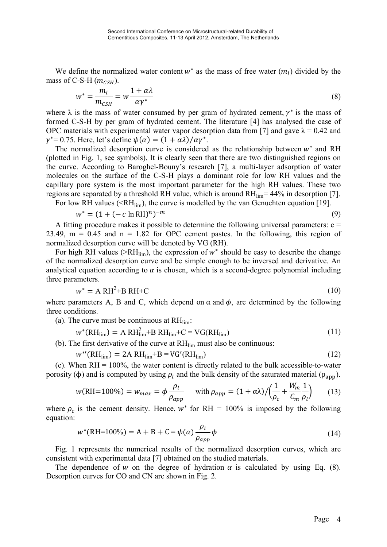We define the normalized water content  $w^*$  as the mass of free water  $(m_l)$  divided by the mass of C-S-H  $(m_{CSH})$ .

$$
w^* = \frac{m_l}{m_{\text{CSH}}} = w \frac{1 + \alpha \lambda}{\alpha \gamma^*} \tag{8}
$$

where  $\lambda$  is the mass of water consumed by per gram of hydrated cement,  $\gamma^*$  is the mass of formed C-S-H by per gram of hydrated cement. The literature [4] has analysed the case of OPC materials with experimental water vapor desorption data from [7] and gave  $\lambda = 0.42$  and  $\gamma^* = 0.75$ . Here, let's define  $\psi(\alpha) = (1 + \alpha \lambda)/\alpha \gamma^*$ .

The normalized desorption curve is considered as the relationship between  $w^*$  and RH (plotted in Fig. 1, see symbols). It is clearly seen that there are two distinguished regions on the curve. According to Baroghel-Bouny's research [7], a multi-layer adsorption of water molecules on the surface of the C-S-H plays a dominant role for low RH values and the capillary pore system is the most important parameter for the high RH values. These two regions are separated by a threshold RH value, which is around  $RH_{lim}$  = 44% in desorption [7]. For low RH values  $(\leq R\cdot H_{\text{lim}})$ , the curve is modelled by the van Genuchten equation [19].

$$
w^* = (1 + (-c \ln RH)^n)^{-m}
$$
 (9)

A fitting procedure makes it possible to determine the following universal parameters:  $c =$ 23.49,  $m = 0.45$  and  $n = 1.82$  for OPC cement pastes. In the following, this region of normalized desorption curve will be denoted by VG (RH).

For high RH values ( $\geq$ RH<sub>lim</sub>), the expression of w<sup>\*</sup> should be easy to describe the change of the normalized desorption curve and be simple enough to be inversed and derivative. An analytical equation according to  $\alpha$  is chosen, which is a second-degree polynomial including three parameters.

$$
w^* = A RH^2 + BRH + C \tag{10}
$$

where parameters A, B and C, which depend on  $\alpha$  and  $\phi$ , are determined by the following three conditions.

(a). The curve must be continuous at  $RH_{lim}$ :

$$
w^*(RH_{\text{lim}}) = A RH_{\text{lim}}^2 + BRH_{\text{lim}} + C = VG(RH_{\text{lim}})
$$
\n(11)

(b). The first derivative of the curve at  $RH_{lim}$  must also be continuous:

$$
w^{\ast\prime}(\text{RH}_{\text{lim}}) = 2\text{A }\text{RH}_{\text{lim}} + \text{B} = \text{VG}^{\prime}(\text{RH}_{\text{lim}})
$$
\n(12)

(c). When  $RH = 100\%$ , the water content is directly related to the bulk accessible-to-water porosity (φ) and is computed by using  $ρ<sub>l</sub>$  and the bulk density of the saturated material ( $ρ<sub>ann</sub>$ ).

$$
w(\text{RH}=100\%) = w_{max} = \phi \frac{\rho_l}{\rho_{app}} \quad \text{with } \rho_{app} = (1 + \alpha \lambda) / \left(\frac{1}{\rho_c} + \frac{W_m}{C_m} \frac{1}{\rho_l}\right) \tag{13}
$$

where  $\rho_c$  is the cement density. Hence,  $w^*$  for RH = 100% is imposed by the following equation:

$$
w^*(\text{RH}=100\%) = \text{A} + \text{B} + \text{C} = \psi(\alpha) \frac{\rho_l}{\rho_{app}} \phi
$$
 (14)

Fig. 1 represents the numerical results of the normalized desorption curves, which are consistent with experimental data [7] obtained on the studied materials.

The dependence of w on the degree of hydration  $\alpha$  is calculated by using Eq. (8). Desorption curves for CO and CN are shown in Fig. 2.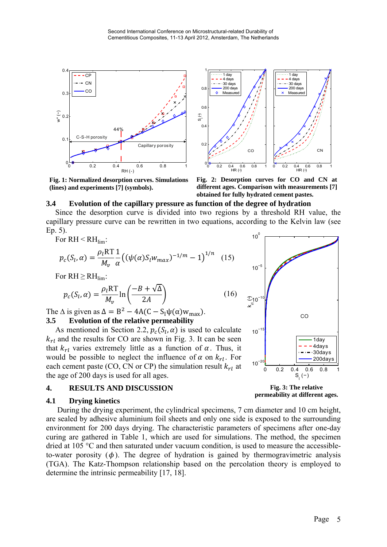

1  $\overline{\cdots}$  1 day  $\cdots$  1 day 4 days 4 days 30 days 30 days  $\Omega$ 200 days 200 days Measure Measure  $\lambda$  $0.6$ S<sup>l</sup> (−)  $0.4$  $\Omega$ **CN** CO <sup>0</sup> 0.2 0.4 0.6 0.8 <sup>1</sup> <sup>0</sup> HR (−)  $0.2$  0.4 0.6 0.8 ,..<br>HR (→

**Fig. 1: Normalized desorption curves. Simulations (lines) and experiments [7] (symbols).** 

**Fig. 2: Desorption curves for CO and CN at different ages. Comparison with measurements [7] obtained for fully hydrated cement pastes.** 

#### **3.4 Evolution of the capillary pressure as function of the degree of hydration**

Since the desorption curve is divided into two regions by a threshold RH value, the capillary pressure curve can be rewritten in two equations, according to the Kelvin law (see Ep. 5).

For  $RH < RH$ 

$$
p_c(S_l, \alpha) = \frac{\rho_l RT}{M_v} \frac{1}{\alpha} \left( (\psi(\alpha) S_l w_{max})^{-1/m} - 1 \right)^{1/n} \tag{15}
$$

For  $RH \geq RH_{lim}$ :

$$
p_c(S_l, \alpha) = \frac{\rho_l RT}{M_v} \ln \left( \frac{-B + \sqrt{\Delta}}{2A} \right)
$$
 (16)

The  $\Delta$  is given as  $\Delta = B^2 - 4A(C - S_1\psi(\alpha)w_{\text{max}})$ . **3.5 Evolution of the relative permeability** 

As mentioned in Section 2.2,  $p_c(S_l, \alpha)$  is used to calculate  $k_{rl}$  and the results for CO are shown in Fig. 3. It can be seen that  $k_{rl}$  varies extremely little as a function of  $\alpha$ . Thus, it would be possible to neglect the influence of  $\alpha$  on  $k_{rl}$ . For each cement paste (CO, CN or CP) the simulation result  $k_{rl}$  at the age of 200 days is used for all ages.

### **4. RESULTS AND DISCUSSION**

#### **4.1 Drying kinetics**

 During the drying experiment, the cylindrical specimens, 7 cm diameter and 10 cm height, are sealed by adhesive aluminium foil sheets and only one side is exposed to the surrounding environment for 200 days drying. The characteristic parameters of specimens after one-day curing are gathered in Table 1, which are used for simulations. The method, the specimen dried at 105 °C and then saturated under vacuum condition, is used to measure the accessibleto-water porosity  $(\phi)$ . The degree of hydration is gained by thermogravimetric analysis (TGA). The Katz-Thompson relationship based on the percolation theory is employed to determine the intrinsic permeability [17, 18].



**Fig. 3: The relative permeability at different ages.**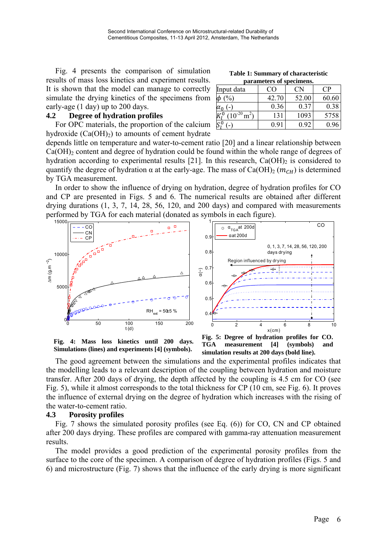Fig. 4 presents the comparison of simulation results of mass loss kinetics and experiment results. It is shown that the model can manage to correctly simulate the drying kinetics of the specimens from early-age (1 day) up to 200 days.

#### **4.2 Degree of hydration profiles**

For OPC materials, the proportion of the calcium hydroxide  $(Ca(OH)<sub>2</sub>)$  to amounts of cement hydrate

**Table 1: Summary of characteristic parameters of specimens.** 

| Input data      | CΟ    |       | CР    |
|-----------------|-------|-------|-------|
| $\sqrt{0}$<br>¢ | 42.70 | 52.00 | 60.60 |
| $\alpha_0$      | 0.36  | 0.37  | 0.38  |
| $10^{-20}$ t    | 131   | 1093  | 5758  |
|                 | 0.91  | O 92  |       |

depends little on temperature and water-to-cement ratio [20] and a linear relationship between  $Ca(OH)_2$  content and degree of hydration could be found within the whole range of degrees of hydration according to experimental results [21]. In this research,  $Ca(OH)_2$  is considered to quantify the degree of hydration  $\alpha$  at the early-age. The mass of Ca(OH)<sub>2</sub> ( $m_{CH}$ ) is determined by TGA measurement.

In order to show the influence of drying on hydration, degree of hydration profiles for CO and CP are presented in Figs. 5 and 6. The numerical results are obtained after different drying durations (1, 3, 7, 14, 28, 56, 120, and 200 days) and compared with measurements performed by TGA for each material (donated as symbols in each figure).



**Fig. 4: Mass loss kinetics until 200 days. Simulations (lines) and experiments [4] (symbols).**



 The good agreement between the simulations and the experimental profiles indicates that the modelling leads to a relevant description of the coupling between hydration and moisture transfer. After 200 days of drying, the depth affected by the coupling is 4.5 cm for CO (see Fig. 5), while it almost corresponds to the total thickness for CP (10 cm, see Fig. 6). It proves the influence of external drying on the degree of hydration which increases with the rising of the water-to-cement ratio.

#### **4.3 Porosity profiles**

Fig. 7 shows the simulated porosity profiles (see Eq. (6)) for CO, CN and CP obtained after 200 days drying. These profiles are compared with gamma-ray attenuation measurement results.

The model provides a good prediction of the experimental porosity profiles from the surface to the core of the specimen. A comparison of degree of hydration profiles (Figs. 5 and 6) and microstructure (Fig. 7) shows that the influence of the early drying is more significant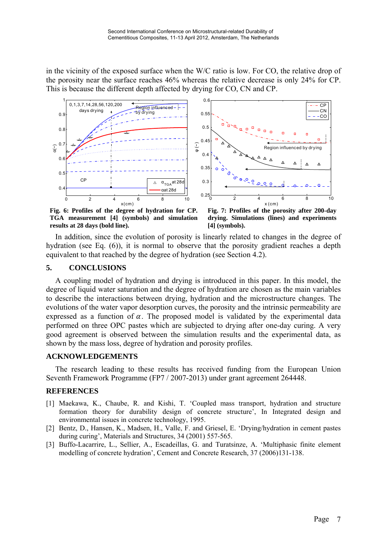in the vicinity of the exposed surface when the W/C ratio is low. For CO, the relative drop of the porosity near the surface reaches 46% whereas the relative decrease is only 24% for CP. This is because the different depth affected by drying for CO, CN and CP.



**Fig. 6: Profiles of the degree of hydration for CP. TGA measurement [4] (symbols) and simulation results at 28 days (bold line).** 

**Fig. 7: Profiles of the porosity after 200-day drying. Simulations (lines) and experiments [4] (symbols).** 

 In addition, since the evolution of porosity is linearly related to changes in the degree of hydration (see Eq. (6)), it is normal to observe that the porosity gradient reaches a depth equivalent to that reached by the degree of hydration (see Section 4.2).

### **5. CONCLUSIONS**

A coupling model of hydration and drying is introduced in this paper. In this model, the degree of liquid water saturation and the degree of hydration are chosen as the main variables to describe the interactions between drying, hydration and the microstructure changes. The evolutions of the water vapor desorption curves, the porosity and the intrinsic permeability are expressed as a function of  $\alpha$ . The proposed model is validated by the experimental data performed on three OPC pastes which are subjected to drying after one-day curing. A very good agreement is observed between the simulation results and the experimental data, as shown by the mass loss, degree of hydration and porosity profiles.

### **ACKNOWLEDGEMENTS**

The research leading to these results has received funding from the European Union Seventh Framework Programme (FP7 / 2007-2013) under grant agreement 264448.

## **REFERENCES**

- [1] Maekawa, K., Chaube, R. and Kishi, T. 'Coupled mass transport, hydration and structure formation theory for durability design of concrete structure', In Integrated design and environmental issues in concrete technology, 1995.
- [2] Bentz, D., Hansen, K., Madsen, H., Valle, F. and Griesel, E. 'Drying/hydration in cement pastes during curing', Materials and Structures, 34 (2001) 557-565.
- [3] Buffo-Lacarrire, L., Sellier, A., Escadeillas, G. and Turatsinze, A. 'Multiphasic finite element modelling of concrete hydration', Cement and Concrete Research, 37 (2006)131-138.